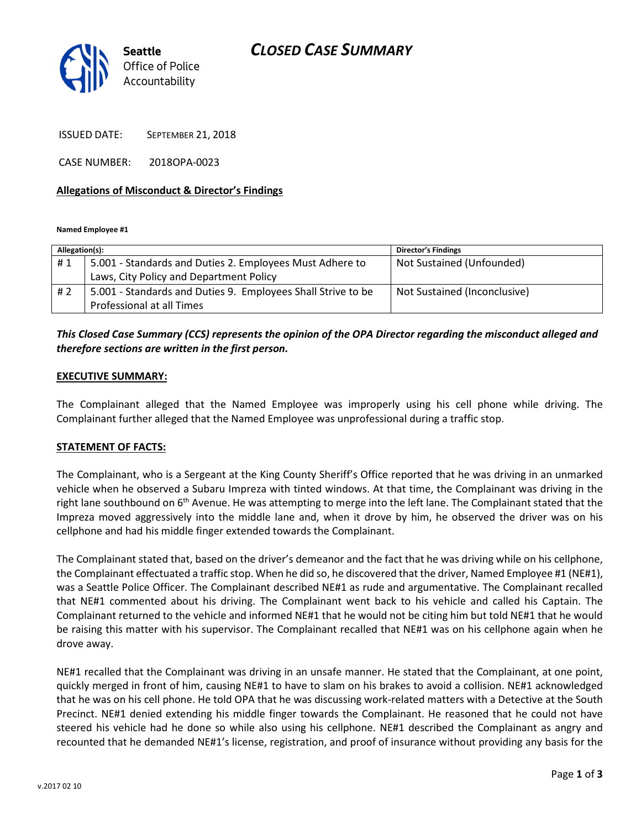# CLOSED CASE SUMMARY



ISSUED DATE: SEPTEMBER 21, 2018

CASE NUMBER: 2018OPA-0023

#### Allegations of Misconduct & Director's Findings

Named Employee #1

| Allegation(s): |                                                              | <b>Director's Findings</b>   |
|----------------|--------------------------------------------------------------|------------------------------|
| #1             | 5.001 - Standards and Duties 2. Employees Must Adhere to     | Not Sustained (Unfounded)    |
|                | Laws, City Policy and Department Policy                      |                              |
| #2             | 5.001 - Standards and Duties 9. Employees Shall Strive to be | Not Sustained (Inconclusive) |
|                | Professional at all Times                                    |                              |

### This Closed Case Summary (CCS) represents the opinion of the OPA Director regarding the misconduct alleged and therefore sections are written in the first person.

#### EXECUTIVE SUMMARY:

The Complainant alleged that the Named Employee was improperly using his cell phone while driving. The Complainant further alleged that the Named Employee was unprofessional during a traffic stop.

#### STATEMENT OF FACTS:

The Complainant, who is a Sergeant at the King County Sheriff's Office reported that he was driving in an unmarked vehicle when he observed a Subaru Impreza with tinted windows. At that time, the Complainant was driving in the right lane southbound on  $6<sup>th</sup>$  Avenue. He was attempting to merge into the left lane. The Complainant stated that the Impreza moved aggressively into the middle lane and, when it drove by him, he observed the driver was on his cellphone and had his middle finger extended towards the Complainant.

The Complainant stated that, based on the driver's demeanor and the fact that he was driving while on his cellphone, the Complainant effectuated a traffic stop. When he did so, he discovered that the driver, Named Employee #1 (NE#1), was a Seattle Police Officer. The Complainant described NE#1 as rude and argumentative. The Complainant recalled that NE#1 commented about his driving. The Complainant went back to his vehicle and called his Captain. The Complainant returned to the vehicle and informed NE#1 that he would not be citing him but told NE#1 that he would be raising this matter with his supervisor. The Complainant recalled that NE#1 was on his cellphone again when he drove away.

NE#1 recalled that the Complainant was driving in an unsafe manner. He stated that the Complainant, at one point, quickly merged in front of him, causing NE#1 to have to slam on his brakes to avoid a collision. NE#1 acknowledged that he was on his cell phone. He told OPA that he was discussing work-related matters with a Detective at the South Precinct. NE#1 denied extending his middle finger towards the Complainant. He reasoned that he could not have steered his vehicle had he done so while also using his cellphone. NE#1 described the Complainant as angry and recounted that he demanded NE#1's license, registration, and proof of insurance without providing any basis for the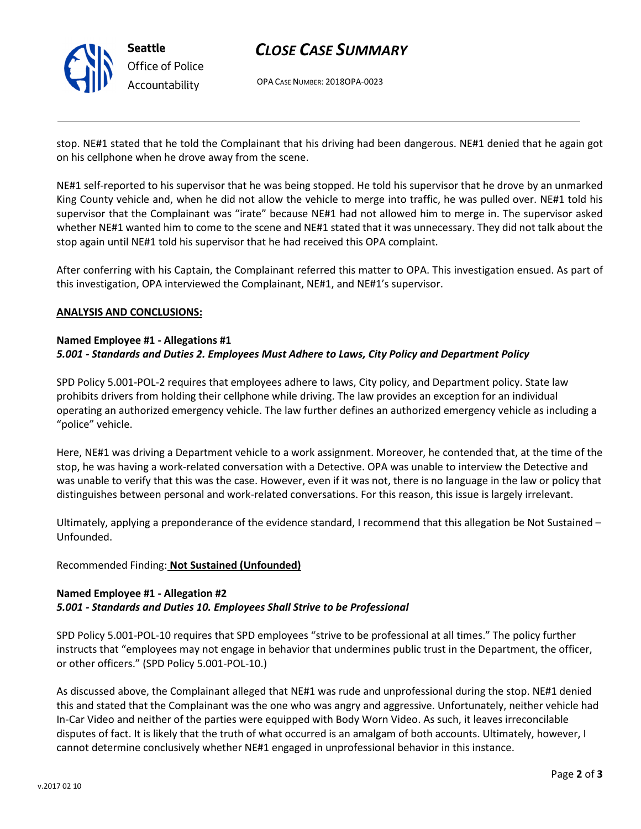

# CLOSE CASE SUMMARY

OPA CASE NUMBER: 2018OPA-0023

stop. NE#1 stated that he told the Complainant that his driving had been dangerous. NE#1 denied that he again got on his cellphone when he drove away from the scene.

NE#1 self-reported to his supervisor that he was being stopped. He told his supervisor that he drove by an unmarked King County vehicle and, when he did not allow the vehicle to merge into traffic, he was pulled over. NE#1 told his supervisor that the Complainant was "irate" because NE#1 had not allowed him to merge in. The supervisor asked whether NE#1 wanted him to come to the scene and NE#1 stated that it was unnecessary. They did not talk about the stop again until NE#1 told his supervisor that he had received this OPA complaint.

After conferring with his Captain, the Complainant referred this matter to OPA. This investigation ensued. As part of this investigation, OPA interviewed the Complainant, NE#1, and NE#1's supervisor.

#### ANALYSIS AND CONCLUSIONS:

#### Named Employee #1 - Allegations #1 5.001 - Standards and Duties 2. Employees Must Adhere to Laws, City Policy and Department Policy

SPD Policy 5.001-POL-2 requires that employees adhere to laws, City policy, and Department policy. State law prohibits drivers from holding their cellphone while driving. The law provides an exception for an individual operating an authorized emergency vehicle. The law further defines an authorized emergency vehicle as including a "police" vehicle.

Here, NE#1 was driving a Department vehicle to a work assignment. Moreover, he contended that, at the time of the stop, he was having a work-related conversation with a Detective. OPA was unable to interview the Detective and was unable to verify that this was the case. However, even if it was not, there is no language in the law or policy that distinguishes between personal and work-related conversations. For this reason, this issue is largely irrelevant.

Ultimately, applying a preponderance of the evidence standard, I recommend that this allegation be Not Sustained – Unfounded.

#### Recommended Finding: Not Sustained (Unfounded)

## Named Employee #1 - Allegation #2 5.001 - Standards and Duties 10. Employees Shall Strive to be Professional

SPD Policy 5.001-POL-10 requires that SPD employees "strive to be professional at all times." The policy further instructs that "employees may not engage in behavior that undermines public trust in the Department, the officer, or other officers." (SPD Policy 5.001-POL-10.)

As discussed above, the Complainant alleged that NE#1 was rude and unprofessional during the stop. NE#1 denied this and stated that the Complainant was the one who was angry and aggressive. Unfortunately, neither vehicle had In-Car Video and neither of the parties were equipped with Body Worn Video. As such, it leaves irreconcilable disputes of fact. It is likely that the truth of what occurred is an amalgam of both accounts. Ultimately, however, I cannot determine conclusively whether NE#1 engaged in unprofessional behavior in this instance.